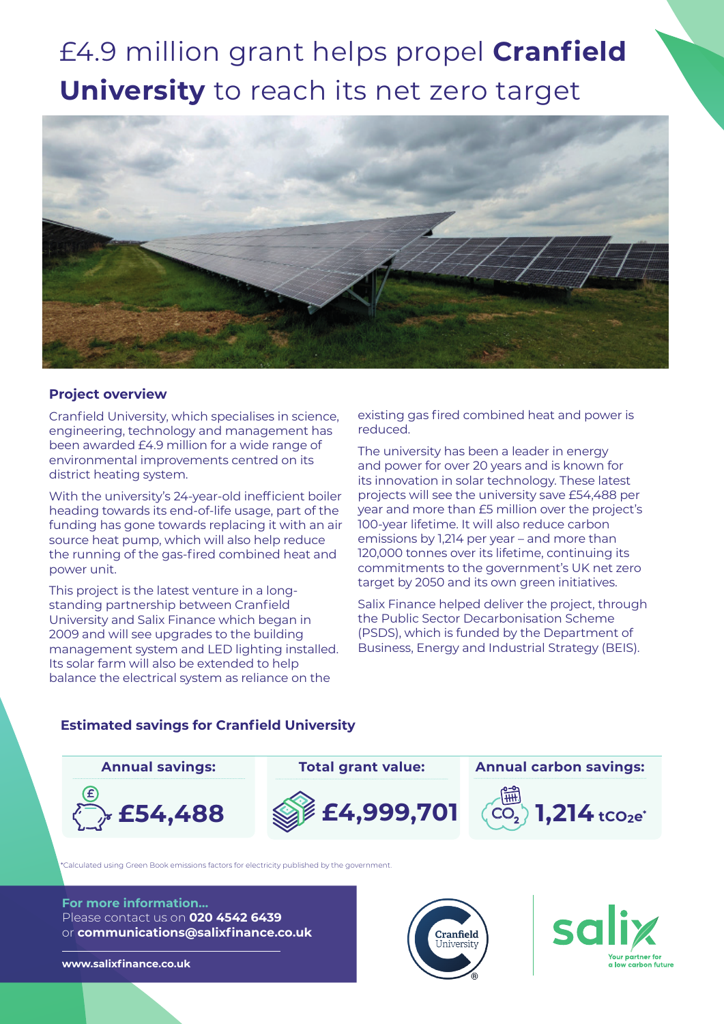# £4.9 million grant helps propel **Cranfield University** to reach its net zero target



## **Project overview**

Cranfield University, which specialises in science, engineering, technology and management has been awarded £4.9 million for a wide range of environmental improvements centred on its district heating system.

With the university's 24-year-old inefficient boiler heading towards its end-of-life usage, part of the funding has gone towards replacing it with an air source heat pump, which will also help reduce the running of the gas-fired combined heat and power unit.

This project is the latest venture in a longstanding partnership between Cranfield University and Salix Finance which began in 2009 and will see upgrades to the building management system and LED lighting installed. Its solar farm will also be extended to help balance the electrical system as reliance on the

existing gas fired combined heat and power is reduced.

The university has been a leader in energy and power for over 20 years and is known for its innovation in solar technology. These latest projects will see the university save £54,488 per year and more than £5 million over the project's 100-year lifetime. It will also reduce carbon emissions by 1,214 per year – and more than 120,000 tonnes over its lifetime, continuing its commitments to the government's UK net zero target by 2050 and its own green initiatives.

Salix Finance helped deliver the project, through the Public Sector Decarbonisation Scheme (PSDS), which is funded by the Department of Business, Energy and Industrial Strategy (BEIS).

# **Estimated savings for Cranfield University**



\*Calculated using Green Book emissions factors for electricity published by the government.

#### **For more information...** Please contact us on **020 4542 6439** or **communications@salixfinance.co.uk**

**www.salixfinance.co.uk**